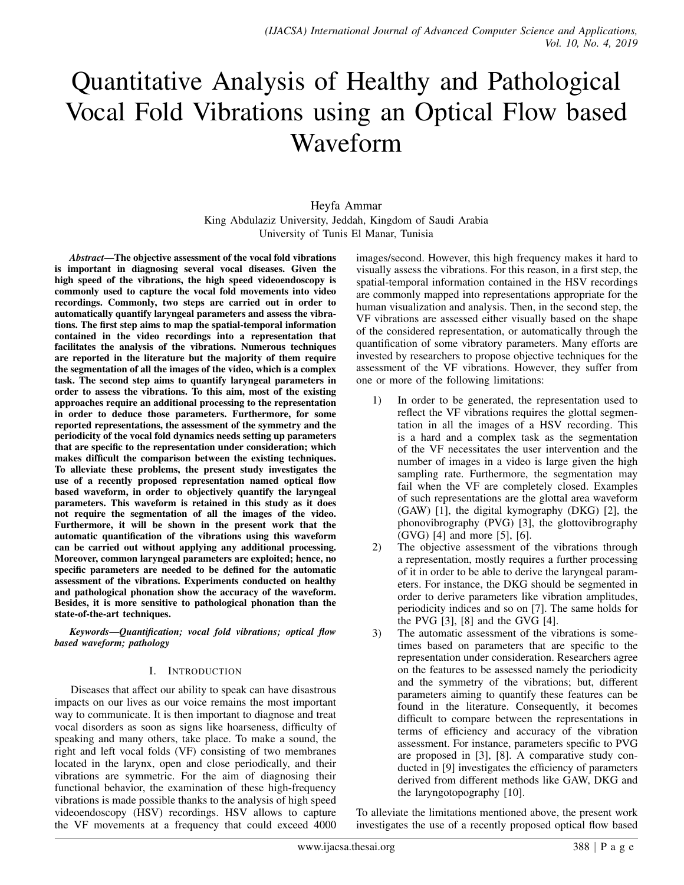# Quantitative Analysis of Healthy and Pathological Vocal Fold Vibrations using an Optical Flow based Waveform

## Heyfa Ammar King Abdulaziz University, Jeddah, Kingdom of Saudi Arabia University of Tunis El Manar, Tunisia

*Abstract*—The objective assessment of the vocal fold vibrations is important in diagnosing several vocal diseases. Given the high speed of the vibrations, the high speed videoendoscopy is commonly used to capture the vocal fold movements into video recordings. Commonly, two steps are carried out in order to automatically quantify laryngeal parameters and assess the vibrations. The first step aims to map the spatial-temporal information contained in the video recordings into a representation that facilitates the analysis of the vibrations. Numerous techniques are reported in the literature but the majority of them require the segmentation of all the images of the video, which is a complex task. The second step aims to quantify laryngeal parameters in order to assess the vibrations. To this aim, most of the existing approaches require an additional processing to the representation in order to deduce those parameters. Furthermore, for some reported representations, the assessment of the symmetry and the periodicity of the vocal fold dynamics needs setting up parameters that are specific to the representation under consideration; which makes difficult the comparison between the existing techniques. To alleviate these problems, the present study investigates the use of a recently proposed representation named optical flow based waveform, in order to objectively quantify the laryngeal parameters. This waveform is retained in this study as it does not require the segmentation of all the images of the video. Furthermore, it will be shown in the present work that the automatic quantification of the vibrations using this waveform can be carried out without applying any additional processing. Moreover, common laryngeal parameters are exploited; hence, no specific parameters are needed to be defined for the automatic assessment of the vibrations. Experiments conducted on healthy and pathological phonation show the accuracy of the waveform. Besides, it is more sensitive to pathological phonation than the state-of-the-art techniques.

*Keywords*—*Quantification; vocal fold vibrations; optical flow based waveform; pathology*

## I. INTRODUCTION

Diseases that affect our ability to speak can have disastrous impacts on our lives as our voice remains the most important way to communicate. It is then important to diagnose and treat vocal disorders as soon as signs like hoarseness, difficulty of speaking and many others, take place. To make a sound, the right and left vocal folds (VF) consisting of two membranes located in the larynx, open and close periodically, and their vibrations are symmetric. For the aim of diagnosing their functional behavior, the examination of these high-frequency vibrations is made possible thanks to the analysis of high speed videoendoscopy (HSV) recordings. HSV allows to capture the VF movements at a frequency that could exceed 4000 images/second. However, this high frequency makes it hard to visually assess the vibrations. For this reason, in a first step, the spatial-temporal information contained in the HSV recordings are commonly mapped into representations appropriate for the human visualization and analysis. Then, in the second step, the VF vibrations are assessed either visually based on the shape of the considered representation, or automatically through the quantification of some vibratory parameters. Many efforts are invested by researchers to propose objective techniques for the assessment of the VF vibrations. However, they suffer from one or more of the following limitations:

- 1) In order to be generated, the representation used to reflect the VF vibrations requires the glottal segmentation in all the images of a HSV recording. This is a hard and a complex task as the segmentation of the VF necessitates the user intervention and the number of images in a video is large given the high sampling rate. Furthermore, the segmentation may fail when the VF are completely closed. Examples of such representations are the glottal area waveform (GAW) [1], the digital kymography (DKG) [2], the phonovibrography (PVG) [3], the glottovibrography (GVG) [4] and more [5], [6].
- 2) The objective assessment of the vibrations through a representation, mostly requires a further processing of it in order to be able to derive the laryngeal parameters. For instance, the DKG should be segmented in order to derive parameters like vibration amplitudes, periodicity indices and so on [7]. The same holds for the PVG [3], [8] and the GVG [4].
- 3) The automatic assessment of the vibrations is sometimes based on parameters that are specific to the representation under consideration. Researchers agree on the features to be assessed namely the periodicity and the symmetry of the vibrations; but, different parameters aiming to quantify these features can be found in the literature. Consequently, it becomes difficult to compare between the representations in terms of efficiency and accuracy of the vibration assessment. For instance, parameters specific to PVG are proposed in [3], [8]. A comparative study conducted in [9] investigates the efficiency of parameters derived from different methods like GAW, DKG and the laryngotopography [10].

To alleviate the limitations mentioned above, the present work investigates the use of a recently proposed optical flow based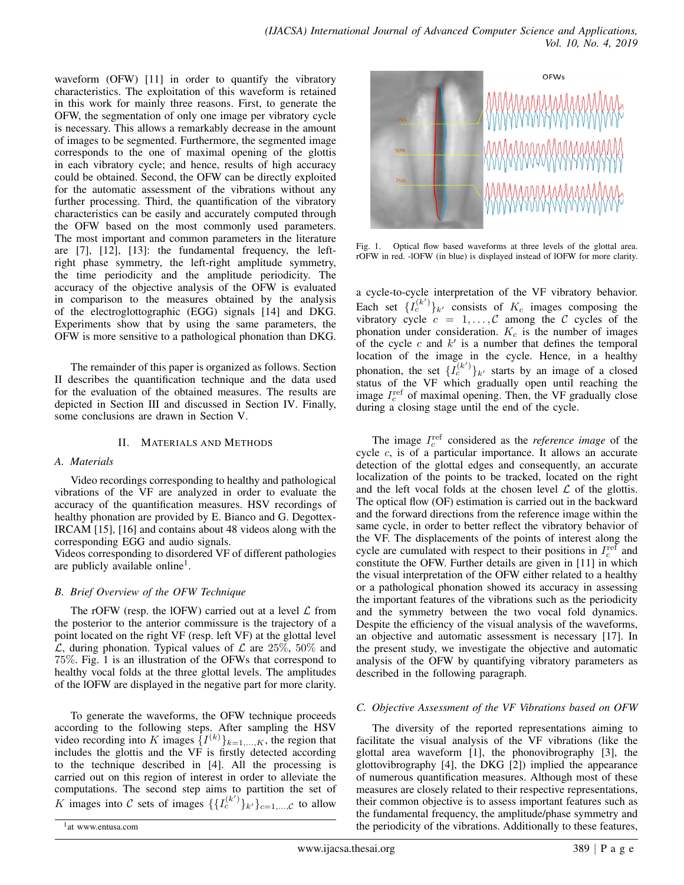waveform (OFW) [11] in order to quantify the vibratory characteristics. The exploitation of this waveform is retained in this work for mainly three reasons. First, to generate the OFW, the segmentation of only one image per vibratory cycle is necessary. This allows a remarkably decrease in the amount of images to be segmented. Furthermore, the segmented image corresponds to the one of maximal opening of the glottis in each vibratory cycle; and hence, results of high accuracy could be obtained. Second, the OFW can be directly exploited for the automatic assessment of the vibrations without any further processing. Third, the quantification of the vibratory characteristics can be easily and accurately computed through the OFW based on the most commonly used parameters. The most important and common parameters in the literature are [7], [12], [13]: the fundamental frequency, the leftright phase symmetry, the left-right amplitude symmetry, the time periodicity and the amplitude periodicity. The accuracy of the objective analysis of the OFW is evaluated in comparison to the measures obtained by the analysis of the electroglottographic (EGG) signals [14] and DKG. Experiments show that by using the same parameters, the OFW is more sensitive to a pathological phonation than DKG.

The remainder of this paper is organized as follows. Section II describes the quantification technique and the data used for the evaluation of the obtained measures. The results are depicted in Section III and discussed in Section IV. Finally, some conclusions are drawn in Section V.

#### II. MATERIALS AND METHODS

#### *A. Materials*

Video recordings corresponding to healthy and pathological vibrations of the VF are analyzed in order to evaluate the accuracy of the quantification measures. HSV recordings of healthy phonation are provided by E. Bianco and G. Degottex-IRCAM [15], [16] and contains about 48 videos along with the corresponding EGG and audio signals.

Videos corresponding to disordered VF of different pathologies are publicly available online<sup>1</sup>.

## *B. Brief Overview of the OFW Technique*

The rOFW (resp. the lOFW) carried out at a level  $\mathcal L$  from the posterior to the anterior commissure is the trajectory of a point located on the right VF (resp. left VF) at the glottal level  $\mathcal{L}$ , during phonation. Typical values of  $\mathcal{L}$  are 25%, 50% and 75%. Fig. 1 is an illustration of the OFWs that correspond to healthy vocal folds at the three glottal levels. The amplitudes of the lOFW are displayed in the negative part for more clarity.

To generate the waveforms, the OFW technique proceeds according to the following steps. After sampling the HSV video recording into K images  $\{I^{(k)}\}_{k=1,\dots,K}$ , the region that includes the glottis and the VF is firstly detected according to the technique described in [4]. All the processing is carried out on this region of interest in order to alleviate the computations. The second step aims to partition the set of K images into C sets of images  $\{ \{L_c^{(k')}\}_{k'}\}_{c=1,\dots,C}$  to allow



Fig. 1. Optical flow based waveforms at three levels of the glottal area. rOFW in red. -lOFW (in blue) is displayed instead of lOFW for more clarity.

a cycle-to-cycle interpretation of the VF vibratory behavior. Each set  $\{I_c^{(k')}\}_{k'}$  consists of  $K_c$  images composing the vibratory cycle  $c = 1, ..., C$  among the C cycles of the phonation under consideration.  $K_c$  is the number of images of the cycle c and  $k'$  is a number that defines the temporal location of the image in the cycle. Hence, in a healthy phonation, the set  $\{I_c^{(k')}\}_k$  starts by an image of a closed status of the VF which gradually open until reaching the image  $I_c^{\text{ref}}$  of maximal opening. Then, the VF gradually close during a closing stage until the end of the cycle.

The image  $I_c^{\text{ref}}$  considered as the *reference image* of the cycle c, is of a particular importance. It allows an accurate detection of the glottal edges and consequently, an accurate localization of the points to be tracked, located on the right and the left vocal folds at the chosen level  $\mathcal L$  of the glottis. The optical flow (OF) estimation is carried out in the backward and the forward directions from the reference image within the same cycle, in order to better reflect the vibratory behavior of the VF. The displacements of the points of interest along the cycle are cumulated with respect to their positions in  $I_c^{\text{ref}}$  and constitute the OFW. Further details are given in [11] in which the visual interpretation of the OFW either related to a healthy or a pathological phonation showed its accuracy in assessing the important features of the vibrations such as the periodicity and the symmetry between the two vocal fold dynamics. Despite the efficiency of the visual analysis of the waveforms, an objective and automatic assessment is necessary [17]. In the present study, we investigate the objective and automatic analysis of the OFW by quantifying vibratory parameters as described in the following paragraph.

## *C. Objective Assessment of the VF Vibrations based on OFW*

The diversity of the reported representations aiming to facilitate the visual analysis of the VF vibrations (like the glottal area waveform [1], the phonovibrography [3], the glottovibrography [4], the DKG [2]) implied the appearance of numerous quantification measures. Although most of these measures are closely related to their respective representations, their common objective is to assess important features such as the fundamental frequency, the amplitude/phase symmetry and the periodicity of the vibrations. Additionally to these features,

<sup>1</sup> at www.entusa.com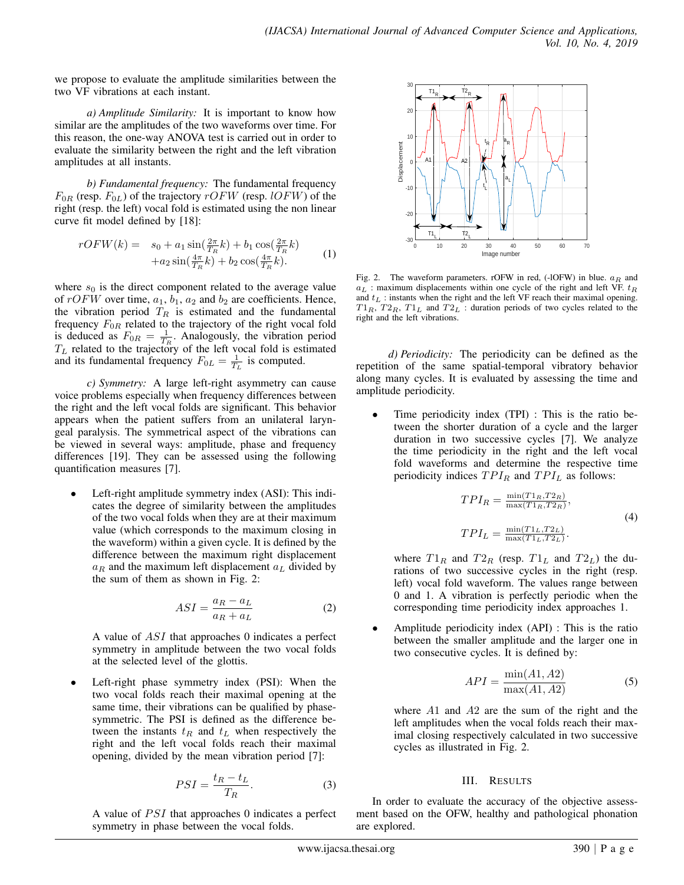we propose to evaluate the amplitude similarities between the two VF vibrations at each instant.

*a) Amplitude Similarity:* It is important to know how similar are the amplitudes of the two waveforms over time. For this reason, the one-way ANOVA test is carried out in order to evaluate the similarity between the right and the left vibration amplitudes at all instants.

*b) Fundamental frequency:* The fundamental frequency  $F_{0R}$  (resp.  $F_{0L}$ ) of the trajectory  $rOFW$  (resp. lOFW) of the right (resp. the left) vocal fold is estimated using the non linear curve fit model defined by [18]:

$$
rOFW(k) = s_0 + a_1 \sin(\frac{2\pi}{T_R}k) + b_1 \cos(\frac{2\pi}{T_R}k) + a_2 \sin(\frac{4\pi}{T_R}k) + b_2 \cos(\frac{4\pi}{T_R}k).
$$
 (1)

where  $s_0$  is the direct component related to the average value of  $rOFW$  over time,  $a_1, b_1, a_2$  and  $b_2$  are coefficients. Hence, the vibration period  $T_R$  is estimated and the fundamental frequency  $F_{0R}$  related to the trajectory of the right vocal fold is deduced as  $F_{0R} = \frac{1}{T_R}$ . Analogously, the vibration period  $T_L$  related to the trajectory of the left vocal fold is estimated and its fundamental frequency  $F_{0L} = \frac{1}{T_L}$  is computed.

*c) Symmetry:* A large left-right asymmetry can cause voice problems especially when frequency differences between the right and the left vocal folds are significant. This behavior appears when the patient suffers from an unilateral laryngeal paralysis. The symmetrical aspect of the vibrations can be viewed in several ways: amplitude, phase and frequency differences [19]. They can be assessed using the following quantification measures [7].

Left-right amplitude symmetry index (ASI): This indicates the degree of similarity between the amplitudes of the two vocal folds when they are at their maximum value (which corresponds to the maximum closing in the waveform) within a given cycle. It is defined by the difference between the maximum right displacement  $a_R$  and the maximum left displacement  $a_L$  divided by the sum of them as shown in Fig. 2:

$$
ASI = \frac{a_R - a_L}{a_R + a_L} \tag{2}
$$

A value of ASI that approaches 0 indicates a perfect symmetry in amplitude between the two vocal folds at the selected level of the glottis.

Left-right phase symmetry index (PSI): When the two vocal folds reach their maximal opening at the same time, their vibrations can be qualified by phasesymmetric. The PSI is defined as the difference between the instants  $t_R$  and  $t_L$  when respectively the right and the left vocal folds reach their maximal opening, divided by the mean vibration period [7]:

$$
PSI = \frac{t_R - t_L}{T_R}.\tag{3}
$$

A value of  $PSI$  that approaches 0 indicates a perfect symmetry in phase between the vocal folds.



Fig. 2. The waveform parameters. rOFW in red, (-lOFW) in blue.  $a_R$  and  $a_L$  : maximum displacements within one cycle of the right and left VF.  $t_R$ and  $t_L$  : instants when the right and the left VF reach their maximal opening.  $T1_R$ ,  $T2_R$ ,  $T1_L$  and  $T2_L$  : duration periods of two cycles related to the right and the left vibrations.

*d) Periodicity:* The periodicity can be defined as the repetition of the same spatial-temporal vibratory behavior along many cycles. It is evaluated by assessing the time and amplitude periodicity.

Time periodicity index (TPI) : This is the ratio between the shorter duration of a cycle and the larger duration in two successive cycles [7]. We analyze the time periodicity in the right and the left vocal fold waveforms and determine the respective time periodicity indices  $TPI_R$  and  $TPI_L$  as follows:

$$
TPI_R = \frac{\min(T1_R, T2_R)}{\max(T1_R, T2_R)},
$$
  
\n
$$
TPI_L = \frac{\min(T1_L, T2_L)}{\max(T1_L, T2_L)}.
$$
\n(4)

where  $T1_R$  and  $T2_R$  (resp.  $T1_L$  and  $T2_L$ ) the durations of two successive cycles in the right (resp. left) vocal fold waveform. The values range between 0 and 1. A vibration is perfectly periodic when the corresponding time periodicity index approaches 1.

• Amplitude periodicity index (API) : This is the ratio between the smaller amplitude and the larger one in two consecutive cycles. It is defined by:

$$
API = \frac{\min(A1, A2)}{\max(A1, A2)}\tag{5}
$$

where A1 and A2 are the sum of the right and the left amplitudes when the vocal folds reach their maximal closing respectively calculated in two successive cycles as illustrated in Fig. 2.

## III. RESULTS

In order to evaluate the accuracy of the objective assessment based on the OFW, healthy and pathological phonation are explored.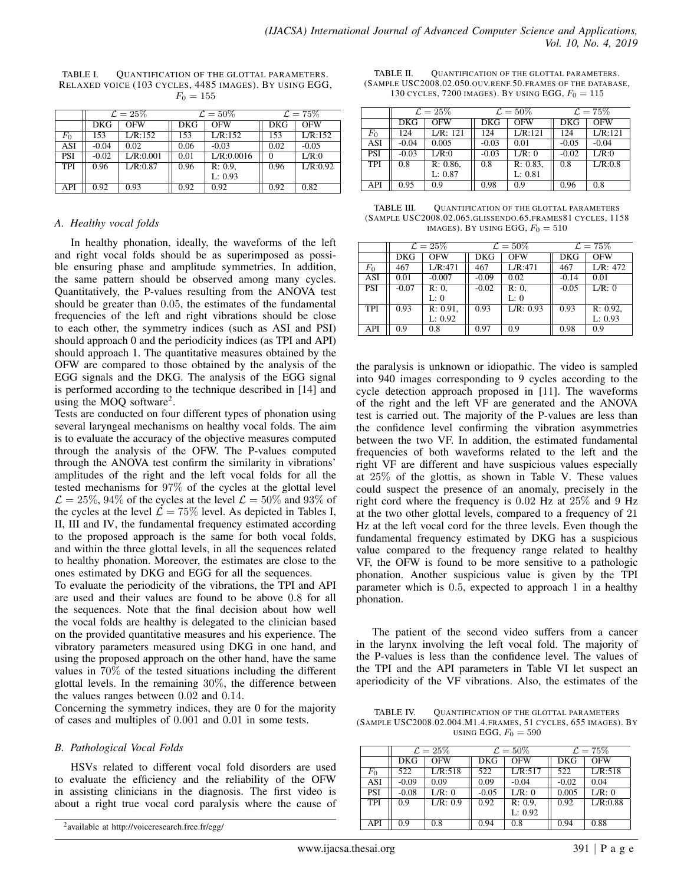|            | $\mathcal{L} = 25\%$ |           | $\mathcal{L} = 50\%$ |            | $\mathcal{L} = 75\%$ |          |
|------------|----------------------|-----------|----------------------|------------|----------------------|----------|
|            |                      |           |                      |            |                      |          |
|            | DKG                  | OFW       | DKG                  | OFW        | <b>DKG</b>           | OFW      |
| $F_0$      | 153                  | L/R:152   | 153                  | L/R:152    | 153                  | L/R:152  |
| ASI        | $-0.04$              | 0.02      | 0.06                 | $-0.03$    | 0.02                 | $-0.05$  |
| PSI        | $-0.02$              | L/R:0.001 | 0.01                 | L/R:0.0016 |                      | L/R:0    |
| <b>TPI</b> | 0.96                 | L/R:0.87  | 0.96                 | $R: 0.9$ , | 0.96                 | L/R:0.92 |
|            |                      |           |                      | L: 0.93    |                      |          |
| API        | 0.92                 | 0.93      | 0.92                 | 0.92       | 0.92                 | 0.82     |

TABLE I. QUANTIFICATION OF THE GLOTTAL PARAMETERS. RELAXED VOICE (103 CYCLES, 4485 IMAGES). BY USING EGG,  $F_0 = 155$ 

## *A. Healthy vocal folds*

In healthy phonation, ideally, the waveforms of the left and right vocal folds should be as superimposed as possible ensuring phase and amplitude symmetries. In addition, the same pattern should be observed among many cycles. Quantitatively, the P-values resulting from the ANOVA test should be greater than 0.05, the estimates of the fundamental frequencies of the left and right vibrations should be close to each other, the symmetry indices (such as ASI and PSI) should approach 0 and the periodicity indices (as TPI and API) should approach 1. The quantitative measures obtained by the OFW are compared to those obtained by the analysis of the EGG signals and the DKG. The analysis of the EGG signal is performed according to the technique described in [14] and using the MOQ software<sup>2</sup>.

Tests are conducted on four different types of phonation using several laryngeal mechanisms on healthy vocal folds. The aim is to evaluate the accuracy of the objective measures computed through the analysis of the OFW. The P-values computed through the ANOVA test confirm the similarity in vibrations' amplitudes of the right and the left vocal folds for all the tested mechanisms for 97% of the cycles at the glottal level  $\mathcal{L} = 25\%$ , 94% of the cycles at the level  $\mathcal{L} = 50\%$  and 93% of the cycles at the level  $\mathcal{L} = 75\%$  level. As depicted in Tables I, II, III and IV, the fundamental frequency estimated according to the proposed approach is the same for both vocal folds, and within the three glottal levels, in all the sequences related to healthy phonation. Moreover, the estimates are close to the ones estimated by DKG and EGG for all the sequences.

To evaluate the periodicity of the vibrations, the TPI and API are used and their values are found to be above 0.8 for all the sequences. Note that the final decision about how well the vocal folds are healthy is delegated to the clinician based on the provided quantitative measures and his experience. The vibratory parameters measured using DKG in one hand, and using the proposed approach on the other hand, have the same values in 70% of the tested situations including the different glottal levels. In the remaining 30%, the difference between the values ranges between 0.02 and 0.14.

Concerning the symmetry indices, they are 0 for the majority of cases and multiples of 0.001 and 0.01 in some tests.

## *B. Pathological Vocal Folds*

HSVs related to different vocal fold disorders are used to evaluate the efficiency and the reliability of the OFW in assisting clinicians in the diagnosis. The first video is about a right true vocal cord paralysis where the cause of

TABLE II. QUANTIFICATION OF THE GLOTTAL PARAMETERS. (SAMPLE USC2008.02.050.OUV.RENF.50.FRAMES OF THE DATABASE, 130 CYCLES, 7200 IMAGES). BY USING EGG,  $F_0 = 115$ 

|             | $\mathcal{L} = 25\%$ |             |         | $\mathcal{L} = 50\%$ |            | $\mathcal{L} = 75\%$ |
|-------------|----------------------|-------------|---------|----------------------|------------|----------------------|
|             | DKG                  | <b>OFW</b>  | DKG     | OFW                  | <b>DKG</b> | <b>OFW</b>           |
| $F_{\rm 0}$ | 124                  | L/R: 121    | 124     | L/R:121              | 124        | L/R:121              |
| ASI         | $-0.04$              | 0.005       | $-0.03$ | 0.01                 | $-0.05$    | $-0.04$              |
| PSI         | $-0.03$              | L/R:0       | $-0.03$ | L/R: 0               | $-0.02$    | L/R:0                |
| TPI         | 0.8                  | $R: 0.86$ , | 0.8     | $R: 0.83$ ,          | 0.8        | L/R:0.8              |
|             |                      | L: 0.87     |         | L: 0.81              |            |                      |
| API         | 0.95                 | 0.9         | 0.98    | 0.9                  | 0.96       | 0.8                  |

TABLE III. QUANTIFICATION OF THE GLOTTAL PARAMETERS (SAMPLE USC2008.02.065.GLISSENDO.65.FRAMES81 CYCLES, 1158 IMAGES). BY USING EGG,  $F_0 = 510$ 

|            | $\mathcal{L}=25\%$ |             | $\mathcal{L}=50\%$ |            | $\mathcal{L}=75\%$ |             |
|------------|--------------------|-------------|--------------------|------------|--------------------|-------------|
|            | <b>DKG</b>         | <b>OFW</b>  | DKG                | <b>OFW</b> | DKG                | <b>OFW</b>  |
| $F_0$      | 467                | L/R:471     | 467                | L/R:471    | 467                | L/R: 472    |
| ASI        | 0.01               | $-0.007$    | $-0.09$            | 0.02       | $-0.14$            | 0.01        |
| PSI        | $-0.07$            | $R: 0$ ,    | $-0.02$            | R: 0.      | $-0.05$            | L/R: 0      |
|            |                    | L: 0        |                    | L: 0       |                    |             |
| <b>TPI</b> | 0.93               | $R: 0.91$ , | 0.93               | L/R: 0.93  | 0.93               | $R: 0.92$ , |
|            |                    | L: 0.92     |                    |            |                    | L: 0.93     |
| API        | 0.9                | 0.8         | 0.97               | 0.9        | 0.98               | 0.9         |

the paralysis is unknown or idiopathic. The video is sampled into 940 images corresponding to 9 cycles according to the cycle detection approach proposed in [11]. The waveforms of the right and the left VF are generated and the ANOVA test is carried out. The majority of the P-values are less than the confidence level confirming the vibration asymmetries between the two VF. In addition, the estimated fundamental frequencies of both waveforms related to the left and the right VF are different and have suspicious values especially at 25% of the glottis, as shown in Table V. These values could suspect the presence of an anomaly, precisely in the right cord where the frequency is 0.02 Hz at 25% and 9 Hz at the two other glottal levels, compared to a frequency of 21 Hz at the left vocal cord for the three levels. Even though the fundamental frequency estimated by DKG has a suspicious value compared to the frequency range related to healthy VF, the OFW is found to be more sensitive to a pathologic phonation. Another suspicious value is given by the TPI parameter which is 0.5, expected to approach 1 in a healthy phonation.

The patient of the second video suffers from a cancer in the larynx involving the left vocal fold. The majority of the P-values is less than the confidence level. The values of the TPI and the API parameters in Table VI let suspect an aperiodicity of the VF vibrations. Also, the estimates of the

TABLE IV. QUANTIFICATION OF THE GLOTTAL PARAMETERS (SAMPLE USC2008.02.004.M1.4.FRAMES, 51 CYCLES, 655 IMAGES). BY USING EGG,  $F_0 = 590$ 

|                  | $\mathcal{L} = 25\%$ |          |            | $\mathcal{L} = 50\%$ |            | $\mathcal{L} = 75\%$ |
|------------------|----------------------|----------|------------|----------------------|------------|----------------------|
|                  | <b>DKG</b>           | OFW      | <b>DKG</b> | OFW                  | <b>DKG</b> | OFW                  |
| $\overline{F_0}$ | 522                  | L/R:518  | 522        | L/R:517              | 522        | L/R:518              |
| ASI              | $-0.09$              | 0.09     | 0.09       | $-0.04$              | $-0.02$    | 0.04                 |
| <b>PSI</b>       | $-0.08$              | L/R: 0   | $-0.05$    | LR: 0                | 0.005      | L/R: 0               |
| <b>TPI</b>       | 0.9                  | L/R: 0.9 | 0.92       | R: 0.9               | 0.92       | L/R:0.88             |
|                  |                      |          |            | L: 0.92              |            |                      |
| API              | 0.9                  | 0.8      | 0.94       | 0.8                  | 0.94       | 0.88                 |

<sup>2</sup> available at http://voiceresearch.free.fr/egg/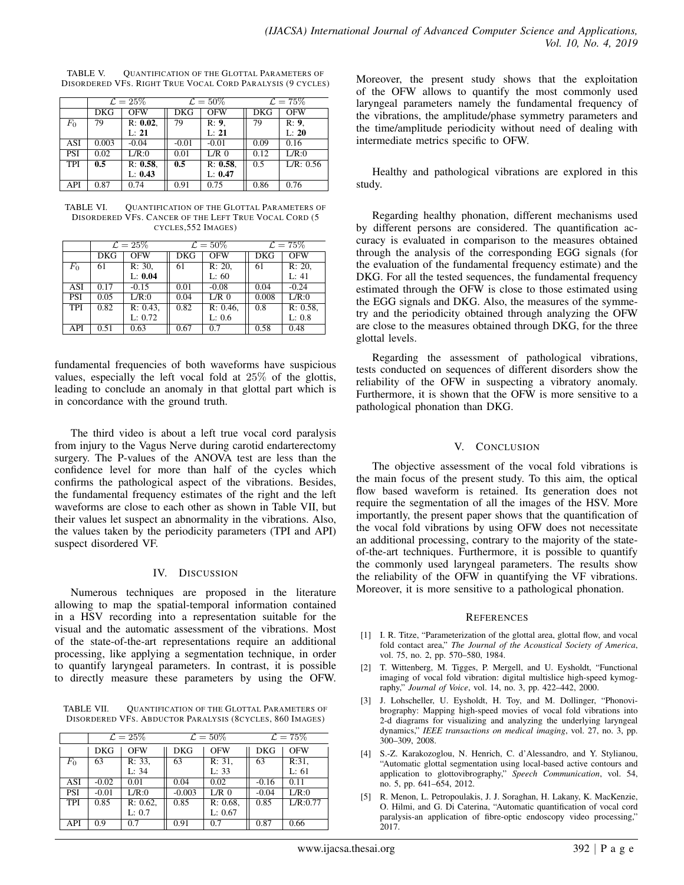TABLE V. QUANTIFICATION OF THE GLOTTAL PARAMETERS OF DISORDERED VFS. RIGHT TRUE VOCAL CORD PARALYSIS (9 CYCLES)

|            | $\mathcal{L}=25\%$ |             |         | $\mathcal{L}=50\%$ |      | $\mathcal{L} = 75\%$ |  |
|------------|--------------------|-------------|---------|--------------------|------|----------------------|--|
|            | DKG                | <b>OFW</b>  | DKG     | OFW                | DKG  | OFW                  |  |
| $F_0$      | 79                 | $R: 0.02$ , | 79      | R: 9.              | 79   | R: 9.                |  |
|            |                    | L: 21       |         | L: 21              |      | L: 20                |  |
| ASI        | 0.003              | $-0.04$     | $-0.01$ | $-0.01$            | 0.09 | 0.16                 |  |
| <b>PSI</b> | 0.02               | L/R:0       | 0.01    | $L/R$ 0            | 0.12 | L/R:0                |  |
| <b>TPI</b> | 0.5                | $R: 0.58$ . | 0.5     | $R: 0.58$ .        | 0.5  | L/R: 0.56            |  |
|            |                    | L: 0.43     |         | L: 0.47            |      |                      |  |
| API        | 0.87               | 0.74        | 0.91    | 0.75               | 0.86 | 0.76                 |  |

TABLE VI. QUANTIFICATION OF THE GLOTTAL PARAMETERS OF DISORDERED VFS. CANCER OF THE LEFT TRUE VOCAL CORD (5 CYCLES,552 IMAGES)

|            | $\mathcal{L}=25\%$ |            |            | $\mathcal{L}=50\%$ |            | $\mathcal{L}=75\%$ |
|------------|--------------------|------------|------------|--------------------|------------|--------------------|
|            | <b>DKG</b>         | <b>OFW</b> | <b>DKG</b> | <b>OFW</b>         | <b>DKG</b> | <b>OFW</b>         |
| $F_0$      | 61                 | R: 30,     | 61         | R: 20              | 61         | R: 20,             |
|            |                    | L: 0.04    |            | L: 60              |            | L: 41              |
| <b>ASI</b> | 0.17               | $-0.15$    | 0.01       | $-0.08$            | 0.04       | $-0.24$            |
| <b>PSI</b> | 0.05               | L/R:0      | 0.04       | $L/R$ 0            | 0.008      | L/R:0              |
| <b>TPI</b> | 0.82               | R: 0.43    | 0.82       | $R: 0.46$ ,        | 0.8        | $R: 0.58$ ,        |
|            |                    | L: 0.72    |            | L: 0.6             |            | L: 0.8             |
| API        | 0.51               | 0.63       | 0.67       | 0.7                | 0.58       | 0.48               |

fundamental frequencies of both waveforms have suspicious values, especially the left vocal fold at 25% of the glottis, leading to conclude an anomaly in that glottal part which is in concordance with the ground truth.

The third video is about a left true vocal cord paralysis from injury to the Vagus Nerve during carotid endarterectomy surgery. The P-values of the ANOVA test are less than the confidence level for more than half of the cycles which confirms the pathological aspect of the vibrations. Besides, the fundamental frequency estimates of the right and the left waveforms are close to each other as shown in Table VII, but their values let suspect an abnormality in the vibrations. Also, the values taken by the periodicity parameters (TPI and API) suspect disordered VF.

## IV. DISCUSSION

Numerous techniques are proposed in the literature allowing to map the spatial-temporal information contained in a HSV recording into a representation suitable for the visual and the automatic assessment of the vibrations. Most of the state-of-the-art representations require an additional processing, like applying a segmentation technique, in order to quantify laryngeal parameters. In contrast, it is possible to directly measure these parameters by using the OFW.

TABLE VII. QUANTIFICATION OF THE GLOTTAL PARAMETERS OF DISORDERED VFS. ABDUCTOR PARALYSIS (8CYCLES, 860 IMAGES)

|            | $\mathcal{L}=25\%$ |             | $\mathcal{L}=50\%$ |            | $\mathcal{L} = 75\%$ |            |
|------------|--------------------|-------------|--------------------|------------|----------------------|------------|
|            | <b>DKG</b>         | <b>OFW</b>  | <b>DKG</b>         | <b>OFW</b> | <b>DKG</b>           | <b>OFW</b> |
| $F_0$      | 63                 | R: 33,      | 63                 | R: 31,     | 63                   | R:31,      |
|            |                    | L: 34       |                    | L: 33      |                      | L: 61      |
| ASI        | $-0.02$            | 0.01        | 0.04               | 0.02       | $-0.16$              | 0.11       |
| PSI        | $-0.01$            | L/R:0       | $-0.003$           | $L/R$ 0    | $-0.04$              | L/R:0      |
| <b>TPI</b> | 0.85               | $R: 0.62$ , | 0.85               | R: 0.68    | 0.85                 | L/R:0.77   |
|            |                    | L: 0.7      |                    | L: 0.67    |                      |            |
| API        | 0.9                | 0.7         | 0.91               | 0.7        | 0.87                 | 0.66       |

Moreover, the present study shows that the exploitation of the OFW allows to quantify the most commonly used laryngeal parameters namely the fundamental frequency of the vibrations, the amplitude/phase symmetry parameters and the time/amplitude periodicity without need of dealing with intermediate metrics specific to OFW.

Healthy and pathological vibrations are explored in this study.

Regarding healthy phonation, different mechanisms used by different persons are considered. The quantification accuracy is evaluated in comparison to the measures obtained through the analysis of the corresponding EGG signals (for the evaluation of the fundamental frequency estimate) and the DKG. For all the tested sequences, the fundamental frequency estimated through the OFW is close to those estimated using the EGG signals and DKG. Also, the measures of the symmetry and the periodicity obtained through analyzing the OFW are close to the measures obtained through DKG, for the three glottal levels.

Regarding the assessment of pathological vibrations, tests conducted on sequences of different disorders show the reliability of the OFW in suspecting a vibratory anomaly. Furthermore, it is shown that the OFW is more sensitive to a pathological phonation than DKG.

## V. CONCLUSION

The objective assessment of the vocal fold vibrations is the main focus of the present study. To this aim, the optical flow based waveform is retained. Its generation does not require the segmentation of all the images of the HSV. More importantly, the present paper shows that the quantification of the vocal fold vibrations by using OFW does not necessitate an additional processing, contrary to the majority of the stateof-the-art techniques. Furthermore, it is possible to quantify the commonly used laryngeal parameters. The results show the reliability of the OFW in quantifying the VF vibrations. Moreover, it is more sensitive to a pathological phonation.

## **REFERENCES**

- [1] I. R. Titze, "Parameterization of the glottal area, glottal flow, and vocal fold contact area," *The Journal of the Acoustical Society of America*, vol. 75, no. 2, pp. 570–580, 1984.
- [2] T. Wittenberg, M. Tigges, P. Mergell, and U. Eysholdt, "Functional imaging of vocal fold vibration: digital multislice high-speed kymography," *Journal of Voice*, vol. 14, no. 3, pp. 422–442, 2000.
- [3] J. Lohscheller, U. Eysholdt, H. Toy, and M. Dollinger, "Phonovibrography: Mapping high-speed movies of vocal fold vibrations into 2-d diagrams for visualizing and analyzing the underlying laryngeal dynamics," *IEEE transactions on medical imaging*, vol. 27, no. 3, pp. 300–309, 2008.
- [4] S.-Z. Karakozoglou, N. Henrich, C. d'Alessandro, and Y. Stylianou, "Automatic glottal segmentation using local-based active contours and application to glottovibrography," *Speech Communication*, vol. 54, no. 5, pp. 641–654, 2012.
- [5] R. Menon, L. Petropoulakis, J. J. Soraghan, H. Lakany, K. MacKenzie, O. Hilmi, and G. Di Caterina, "Automatic quantification of vocal cord paralysis-an application of fibre-optic endoscopy video processing," 2017.